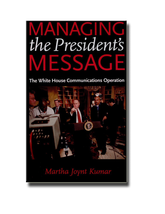# the President's

# The White House Communications Operation

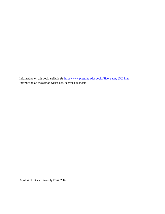Information on this book available at: http://www.press.jhu.edu/books/title\_pages/3562.html Information on the author available at: marthakumar.com

© Johns Hopkins University Press, 2007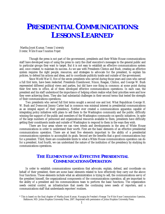# **PRESIDENTIAL COMMUNICATIONS: LESSONS LEARNED\***

 Martha Joynt Kumar, *Towson University Director, White House Transition Project* 

Though the press is not part of the government, presidents and their White House communications staff have developed ways of using the press to carry the chief executive's messages to the general public and to particular groups they want to target. But it is not easy to establish an effective communications system and, once created, to maintain its success. As we saw with Presidents Clinton and Bush, creating an effective system requires the right people, resources, and strategies to advocate for the president, to explain his policies, to defend his actions and ideas, and to coordinate publicity inside and outside of the government.

Since World War II, five of the seven presidents who served during those years and ones who served a full first term, have been reelected. Presidents Eisenhower, Nixon, Reagan, Clinton, and George W. Bush represented different political views and parties, but did have one thing in common: at some point during their first term in office, all of them developed effective communications operations. In each case, the president and his staff understood the importance of helping others realize what their priorities were and how they were achieving them. They also had substantial challenges in their second terms that tested the strength of their communications operations.

Two presidents who served full first terms sought a second one and lost. What Republican George H. W. Bush and Democrat Jimmy Carter had in common was minimal interest in presidential communications as an integral aspect of their presidency. Neither ever created a communications apparatus capable of integrating policy initiatives with plans to sell them to the Washington community and the public. difficulty winning the support of the public and members of the Washington community on specific initiatives. In spite of the large numbers of personnel and organizational resources available to them, presidents have difficulty getting their constituents inside and outside of Washington to respond to them in the ways they wish.

There are four areas where we can view trends and developments in the area of White House communications in order to understand their worth. First are the basic elements of an effective presidential communications operation. There are at least five elements important to the ability of a presidential communications operation to accomplish its goals. Second are the benefits that a good communications buy for a president. Third, there are considerable limits to what a White House communications operation can do for a president. And fourth, we can understand the nature of the institution of the presidency by studying its communications operations.

# **THE ELEMENTS OF AN EFFECTIVE PRESIDENTIAL COMMUNICATIONS OPERATION**

In order to establish communications operations that advocate, explain, defend, and coordinate on behalf of their president, there are some basic elements related to how effectively they carry out the above four functions. Those elements include what an administration is trying to sell, the communications savvy of the president himself, the organizational components of the communications operation; all are important to the ability of a president and his communications team to perform the basic functions. The organization needs central control, an infrastructure that meets the continuing news needs of reporters, and a communications staff that understands reporters' routines.

<sup>\*</sup> This is based on the final chapter of Martha Joynt Kumar, *Managing the President's Message: The White House Communications Operation*, Baltimore, MD: Johns Hopkins University Press, 2007. Reprinted with permission of Johns Hopkins University Press.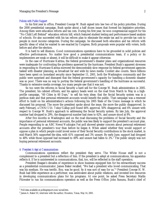# *Policies with Public Support*

In his first year in office, President George W. Bush signed into law two of his policy priorities. During the 2000 presidential campaign, Bush spoke about a half dozen issues that formed his legislative priorities. Among them were education reform and tax cuts. During his first year, he won congressional support for his "No Child Left Behind" education reform bill, which featured student testing and performance-based analysis of schools. He also succeeded with his tax reform plan to eliminate the estate tax and to provide tax cuts to people in most income categories. During the campaign, he discussed both education and tax reform with specific ideas of what he wanted to see enacted by Congress. Both proposals were popular with voters, both before and after the election.

It is hard to sell illusions. Good communications operations have to be grounded in solid policies and effective performances. No matter how good a presidential communications team, if a policy or its implementers are weak or absent, it will be difficult to make it appear otherwise.

In the case of Hurricane Katrina, the federal government's disaster plans and organizational resources were inadequate for confronting the problems spawned by the hurricane. President Bush's apparent slowness in responding to Hurricane Katrina mirrored the demonstrably slow response by federal government agencies tasked with disaster planning, as broadcast far and wide by news media. Context also counts. Since billions have been spent on homeland security since September 11, 2001, both the Washington community and the public were surprised and dismayed that the federal government's capacity for handling a domestic disaster was so poor. There was no way to portray the federal government's handling of the hurricane as successful. Thanks to extensive media coverage, too many people saw that it was not.

So too were the reforms in Social Security a hard sell for the George W. Bush administration in 2005. The president, his cabinet officers, and his agency heads went on the road from March to May in a highprofile campaign, "60 Cities in 60 Days," to sell his twin ideas: that the Social Security system was in a perilous state and that personal retirement accounts would benefit the public. That campaign was a renewed effort to build on his administration's actions following his 2005 State of the Union message in which he discussed his proposal. The more the president spoke about the issue, the more the public disapproved. In early February, a CNN/*USA Today*/Gallup poll found 44% approval, 50% disapproval, and 6% unsure with respect to George W. Bush's approach to addressing the Social Security system. By late July, the approval number had dropped to 29%, the disapproval number had risen to 62%, and unsure stood at 9%.

After five months in Washington and on the road discussing the problems of Social Security and the importance of personal retirement accounts, the public was less likely to support the president's account plan. People responding to an ABC News/*Washington Post* poll showed greater concern about personal retirement accounts after the president's tour than before he began it. When asked whether they would support or oppose a plan in which people could invest some of their Social Security contributions in the stock market, in mid-March 56% supported the idea, with 41% opposed and 3% unsure. By early June, support had dropped to 48% while those opposed had increased to 49% and unsure had fallen to 2%.1 The public simply was not buying personal retirement accounts.

# *A President Adept at Communications*

Communications operations reflect the president they serve. The White House staff is not a complement to a president but a reflection of him. If the president is adept at communications, his apparatus reflects it. If he is uninterested in communications, that, too, will be reflected in the staff operation.

President Reagan's decades of experience in show business equipped him for his extraordinary success as a presidential communicator. James Baker recalled, "We had a president who loved communicating. That was his medium. He was terrific. Boy, was he good. So it was sort of easy for us."2 President George H. W. Bush had little experience as a performer, was ambivalent about public relations, and invested low resources in developing communications plans for his programs. At one point, he asked Press Secretary Marlin Fitzwater to run his communications operation as well as the Press Office. John Sununu, Bush's chief of

<sup>1</sup> Poll data available at pollingreport.com/social.htm.

<sup>2</sup> James A. Baker III, interview with the author, Houston, Texas, May 14, 2001.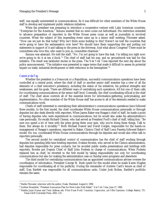staff, was equally uninterested in communications. So it was difficult for other members of the White House staff to develop and implement public relations initiatives.

When the president was preparing to introduce a cooperative venture with Latin American countries, "Enterprise for the Americas," Sununu insisted that no news come out beforehand. His restriction extended to advance preparation of reporters in the White House press corps as well as journalists in involved countries. When the subject of this impending event came up in a senior staff meeting, Fitzwater asked, "How can we just do that today? Why isn't there some buildup to this? Haven't we told the countries that we're going to have the ambassadors over here? We should have them supporting this and putting out statements in support of it and talking to the press in the driveway. And what about Congress? There must be committees who love this, who want to join us, committee chairmen."

Sununu was adamant. He told the staff, "No. I'm not going to have this leak. I'm telling you right now: we're going to do it at ten o'clock."3 The chief of staff had his way, and no groundwork was laid for this initiative. The result was lackluster stories in the press. The *New York Times* reported the next day about the policy announcement, "The initiative was presented in vague terms that made it difficult to assess its potential impact on trade, industrial development or debt reduction in the hemisphere."4

# *Control at the Top*

<u>.</u>

Whether the president is a Democrat or a Republican, successful communications operations have been controlled at a central point, where the chief of staff or another senior staff member has a view of all the elements of a chief executive's presidency, including the status of his initiatives, his political strengths and weaknesses, and his goals. There are different ways of centralizing such operations. All but one of them calls for coordinating communications at the senior staff level. Generally, the chief coordinating official is the chief of staff. The chief alone controls all of the essential levers for information-gathering, policymaking, and implementation. No other member of the White House staff has access to all of the elements needed to make communications work.

Chiefs of staff interested in centralizing their administration's communications operations have followed three models. In the first model, the chief coordinates White House communications personally or through deputies but also deals directly with reporters. When James Baker was Reagan's chief of staff, he made a point of having deputies who were experienced in communications, but he would also make his administration's case personally. He recalls Richard Cheney, who had served as President Ford's chief of staff, telling him: "Be sure you spend a lot of time with the press giving them your spin, why you're doing these things. Talk to them. But always do it invisibly."5 Both Michael Deaver and David Gergen, responsible for the hands-on management of Reagan's operations, reported to Baker. Clinton Chief of Staff Leon Panetta followed Baker's model. He, too, coordinated White House communications through his deputies and would also often talk to reporters personally.

The second model for centralized control of communication has the chief of staff working through deputies but spending little time briefing reporters. Erskine Bowles, who served in the Clinton administration, had deputies responsible for press contacts, but he avoided public media presentations and briefings with reporters. Bowles put Deputy Chief of Staff John Podesta in charge of communications. When Podesta replaced him as chief, he reverted to the first model by taking responsibility not only for coordinating communications but also for making the administration case on Sunday news programs and elsewhere.

The third model for centralizing communications has an appointed communications adviser oversee the coordination of information. President George W. Bush opted for this model when he made Karen Hughes responsible for coordinating all of his publicity. During the remainder of Andrew Card's tenure as chief of staff, Dan Bartlett was responsible for all communications units. Under Josh Bolten, Bartlett's portfolio remains the same.

<sup>3</sup> Marlin Fitzwater, interview with the author, Deale, Maryland, August 8, 1998.

<sup>4</sup> Andrew Rosenthal, "President Announces Plan for More Latin Debt Relief," *New York Times*, June 27, 1990.

<sup>5</sup> Martha Joynt Kumar and Terry Sullivan eds. *White House World: Transitions, Organization, and Office Operations*. College Station, TX: Texas A&M University Press, 2003, 133.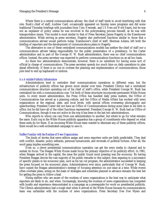Where there is a central communications adviser, the chief of staff tends to avoid interfering with that role. Bush's chief of staff, Andrew Card, occasionally appeared on Sunday news programs and did some traditional Thursday briefings with journalists from *Time, Newsweek,* and *US News and World Report*, but he was not an explainer of policy unless he was involved in the policymaking process himself, as he was with transportation issues. This model is most similar to that of Press Secretary James Hagerty in the Eisenhower administration. While serving as press secretary, Hagerty also performed functions similar to those that a communications adviser would perform today. Eisenhower's chief of staff, Sherman Adams, left both the briefing of reporters and the development of communications plans to Hagerty.

The alternative to one of these centralized communications models has neither the chief of staff nor a communications adviser taking responsibility for the public presentation of a presidency. In the Carter administration and in part of the George H. W. Bush administration, there was no chief communications officer. Instead, the press secretary was expected to perform communications functions on an ad hoc basis.

As these two administrations demonstrate, however, there is no substitute for having some sort of official in charge of communications. The press secretary spends too much time on daily operations to plan ahead effectively. If there is no one to oversee the planning and implementation of communications, those jobs tend to end up haphazard or undone.

### *An Available Publicity Infrastructure*

Administrations tend to centralize their communications operations in different ways, but the infrastructure of publicity offices has grown more similar over time. President Clinton had a centralized communications structure operating out of his chief of staff's office, while President George W. Bush has centralized his with a communications czar. Yet both of these structures incorporate permanent White House units. In every recent administration, the Press Office has handled daily press matters, the Office of Communications has served as a planning vehicle, and the Office of Media Affairs has worked with news organizations at the regional, state, and local levels, with special offices overseeing photography and speechwriting. President Carter did not have an Office of Communications during some years in his term in office, but he did have all of the other functions represented. President George H. W. Bush had an Office of Communications, though it was not active in the way it has been in the last two administrations.

Who reports to whom can vary from one administration to another, but where to go for what remains the same. Each cog in the White House publicity apparatus has a group of constituents who depend on what these units do for them. If an incoming White House team wanted to eliminate any of these publicity offices, there would be a well-orchestrated campaign to save it.

# *Staffers Familiar with the Routines of News Organizations*

The kinds of stories that news editors assign and news reporters write are fairly predictable. They deal with conflict, disaster, policy setbacks, personal turnarounds, and reversals of political fortune. After all, the word news implies something new.

Even so, a clever presidential communications operation can get the news media to channel and to sustain its focus. The Reagan White House made focus the primary objective of its publicity effort. In 1981, when Reagan arrived in the capital, the issue the public found most pressing was the economy. By having President Reagan devote the vast majority of his public remarks to this subject, then segueing to a succession of specific planks in his economic plan, such as his tax cut program, the administration succeeded in keeping the press focused on his economic plans. Administrations ever since, particularly that of George W. Bush, have copied the Reagan administration's strategy of focusing attention on one issue at a time. While events often overtake plans, acting on the basis of strategies and schedules planned in advance remains the best bet for getting the press to follow a lead.

Hiring staffers who are aware of the routines of news organizations is the best way to anticipate what reporters are likely to do, and when. Increasingly, knowing the routines of news organizations has competed with loyalty and experience demonstrated in a campaign as a prerequisite for work on presidential publicity. The Clinton administration had a rough start when it arrived in the White House because its communications team was unfamiliar with the routines of news organizations. Press Secretary Dee Dee Myers and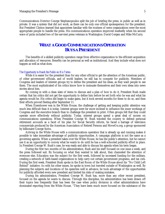Communications Director George Stephanopoulos split the job of briefing the press, in public as well as in private. It was a system that did not work, as there can be only one official spokesperson for the president. But President Clinton learned that appointees familiar with the routines of news organizations were the most appropriate people to handle the press. His communications operation improved markedly when his second wave of picks included two of the savviest press veterans in Washington: David Gergen and Mike McCurry.

# **WHAT A GOOD COMMUNICATIONS OPERATION BUYS A PRESIDENT**

The benefits of a skilled publicity operation range from effective organization to the efficient acquisition and allocation of resources. Benefits can be personal as well as institutional. And they include what does not happen as well as what does.

# *The Opportunity to Reach the Public on His Terms*

While it is easier for the president than for any other official to get the attention of the American public, of other government officials, and of world leaders, he still has to compete for publicity. Members of Congress and leaders of interest groups try to define the president and his ideas, as they want people to see them. The most sophisticated of his critics know how to insinuate themselves and their own ideas into news stories about him.

By coming in with a clean slate of items to discuss and a plan of how to do it, President Bush made certain that his critics did not get the opportunity to define him before he set forth who he was and what his agenda would be. His critics did begin to make gains, but it took several months for them to do so, and then their efforts proved fleeting after September 11.

When Eisenhower was in the White House, the challenge of getting and keeping public attention was much less difficult than it is today. Interest groups were far more inclined to influence the inner workings of Congress and the executive branch than to challenge the president in print. Often groups felt that they could operate more effectively without publicity. Today, interest groups spend a great deal of money on communications operations. When President George W. Bush traveled the country to defend personal retirement accounts as a facet of his plan for Social Security reform, he faced a barrage of television commercials produced by the American Association of Retired Persons and MoveOn.org, a group sponsored by billionaire George Soros.

Arriving in the White House with a communications operation that is already up and running makes it possible to take immediate advantage of publicity opportunities. A campaign platform is not the same as a governing agenda. When a president takes over the White House, he has the public's attention, but he cannot use it as an opportunity to convey what he wants to do until he has a well-schooled publicity effort in place. In President George W. Bush's case, he was ready and able to discuss his agenda when his term began.

During the first two months of his administration, Bush and his staff focused on one issue a week, and the press followed suit. By focusing on what they wanted to talk about, they channeled the attention of everyone else. Education was the subject for the first week, followed by increased funding for the military, creating a network of faith-based organizations to help carry out certain government programs, and tax cuts. During the first week, President Bush spoke in the East Room of the White House about his "No Child Left Behind" initiative. As with his other issues, he spoke in town but traveled outside of Washington as well. By planning the subjects and locations of his speeches well in advance, he took advantage of the opportunities for publicity afforded every new president and limited his risks of making mistakes.

During his administration, President George W. Bush has, more than any other recent president, focused on the agenda he wants to discuss. Through this discipline, his administration has been drawn off their topics less frequently than has been the case when policy divisions in other administrations have dominated reporting from the White House. "They have been much more focused on the substance of the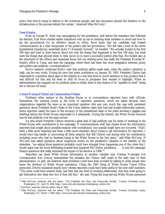policy that they're trying to deliver to the American people, and less discussion around the theatrics or the infrastructure or the process behind the curtain," observed Mike McCurry.6

# *Fewer Mistakes*

Even as George W. Bush was campaigning for the presidency, well before the transition that followed his election, Karl Rove studied earlier transitions with an eye to learning what mistakes to avoid and how to lay the groundwork for an effective tenure in office. Rove knew that his candidate had treated communications as a vital component of his politics and his governance. "We did take a look at the seven [presidential transitions], essentially [John F.] Kennedy forward," he recalled. "We actually looked at the first 180 days and tried to draw lessons about not only the things that happened in the first 180 days, but what were the things that allowed them to then move on to have a successful period after that. We looked also at the structures of the offices and examined those, but our starting point was really the President [George W. Bush]'s office in Texas, and then the campaign where there had been this close integration between policy and politics and publicity--communications."7

Rove's research confirmed Bush's view that publicity gaffes made early, when the public's attention is high, can be very costly. During his own first press conference on January 29, 1993, President Clinton had responded to a question about gays in the military in a way that drew so much attention to this position that it was difficult for him and his team to shift its focus to programs they wanted to highlight. When an administration has mapped out its publicity plans in detail, there is less chance of its "speaker-in-chief" being led or thrown off track.

# *Advance Warning of Political and Communications Problems*

Problems often surface in the Briefing Room or in conversations reporters have with officials. Sometimes, the warning comes in the form of reporters' questions, which are asked because news organizations regarded the issue as an important question--this was very much the case with persistent questions about President Bush's State of the Union address claim that Iraq had sought yellowcake uranium. Some reporters raised the issue of the accuracy of the presidential claim in the press secretary's gaggles and briefings before the White House responded to it adequately. During the interim, the White House received was its bad publicity over the issue mount.

An area where President Clinton received a great deal of bad publicity was his series of meetings in the White House with contributors to his campaign. If communications staff had chased down the information reporters had sought about possible sessions with contributors, one scandal might have not occurred. "Had I been a little more inquiring and been a little more emphatic about trying to get information for reporters, I would have dug harder in uncovering all these sessions that Bill Clinton was having with his contributors, including some who had no business being in the White House in the first place," said Mike McCurry. If McCurry had asked questions about suspicious events on the president's calendar or the identity of the attendees, "me asking those questions probably could have stopped from happening one of the crises that I would argue was the most debilitating scandal that impacted the Clinton presidency. . . . It was the campaign finance questions that really tarnished the impact of his election in 1996."8

Reporters can share White House information in another valuable way. Veteran *Washington Post* correspondent Ann Devroy remembered the mistakes the Clinton staff made in the early days of their administration. In part, she believed, their problems could have been avoided by talking to press people who knew the rhythms of White House operations. Citing the 1993 firing of White House Travel Office personnel, Devroy explained exactly how veteran reporters could have been useful to the new staff members. "The press could have warned them, had they had any kind of working relationship, that they were going to get themselves into deep doo-doo if they did this," she said. Firing the long-serving White House personnel

<sup>6</sup> Mike McCurry, interview with the author, "The President, the Press, and Democratic Society," Towson University course, Washington, DC, April 19, 2006. http://www.ucdc.edu/aboutus/whstreaming\_archive.cfm.

<sup>7</sup> Karl Rove, interview with the author, May 8, 2002.

<sup>8</sup> Mike McCurry, interview with the author, "The President, the Press, and Democratic Society," Towson University course, Washington, DC, March 1, 2004. http://www.ucdc.edu/aboutus/whstreaming\_archive.cfm.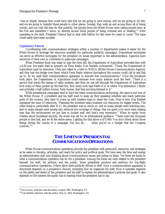"was so stupid, because they could have said that we are going to save money, and we are going to do this, and we are going to transfer these people to other places. Instead, they walk up and accuse them all of being crooks, and not only did they do that publicly, but people from the White House were calling people here, at the *Post* and elsewhere I know, to directly accuse those people of being criminal and of stealing."9 After operating in the dark, President Clinton had to deal with fallout for this issue for years to come. The issue could easily have been avoided.

# *Supplementary Resources*

Coordinating with communications strategies within a number of departments makes it easier for the White House to leverage the resources available for particular publicity campaigns. Department secretaries can serve as effective surrogates for the president on issues important to the administration. Agencies have resources of their own to contribute to particular campaigns.

When President Bush was ready to sign the farm bill, the Department of Agriculture provided him with a 6:30 a.m. live radio feed to farmers via Farm Radio. Dan Bartlett commented, "There, the Department of Agriculture used its resources. They just called in a feed to WHCA [White House Communications Agency], and they had the bridge over there, which Farm Radio stations throughout the country could call in and link up to. So we used their communications apparatus to execute that communications." Once the broadcast took place, the Department of Agriculture could estimate how many stations took the feed: "There is a service that tracks the ratings of radio markets, and then we can tell through the Department of Agriculture how many of them picked up the feed live, how many took tape feeds of it, et cetera. Our estimation, I think, was probably a half million homes, farm homes, that that morning listened to it."

While presidential campaigns tend to have the latest communications technology, the same is not true of the White House. If a president and his staff want to keep up their speaking schedule and reach particular parts of the country, they have to come up with creative ways to share the costs. Here is how Dan Bartlett explained the issue of resources: "Planning the schedule helps husband our resources for bigger events. The other thing is, particularly after 9/11, the president was so much on, and so many people were watching him, and so many people were tuning into network live coverage of things, that we spent a lot more time making sure that the environment we put him in looked well, and that's very expensive." When he spoke from Atlanta about homeland security, the scene was set for an international audience. "There were ten thousand people in that hall, and we lit the entire arena. Lighting for that alone is \$75,000. You don't think about those things during the course of a campaign, but you do . . . when you're on a budget that the Congress controls."10

# **THE LIMITS OF PRESIDENTIAL COMMUNICATIONS OPERATIONS**

White House communications operations provide the president with personnel, resources, and strategies as he seeks to develop, articulate, and reach his policy and political goals. We have seen the time and energy an administration puts into thinking about communications issues and acting on them. Yet there are limits to what a communications operation can do for a president. Among the limits are ones related to the president himself, his staff, his policies, and the public. Some presidents produce and perform for top-flight communications operations. Others allow their publicity efforts to drift. How a communications apparatus is structured depends on a president's choices, including how he organizes his staff. How it operates depends on the ability and desire of the president and his staff to explain his administration's policies and goals. It also depends on the interest the public has in hearing what the president has to say.

<sup>9</sup> Ann Devroy, interview with the author, August 1995, Washington, DC.

<sup>10</sup> Dan Bartlett, interview with the author, May 22, 2002, Washington, DC.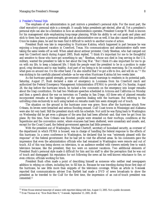# *A President's Personal Style*

The emphasis of an administration in part mirrors a president's personal style. For the most part, the chief executive's personal style is a strength. It usually helps presidents get elected, after all. Yet a president's personal style can also be a limitation in how an administration operates. President George W. Bush is known for his management style emphasizing long-range planning. While his ability to set out goals and plans and stick to them has been a personal strength and an administrative one as well, it has also caused him problems. Once he makes plans, he and his team find it difficult to switch to another course of action.

President Bush was late in responding to Hurricane Katrina, which happened in part because he was enjoying a long-planned vacation in Crawford, Texas. His communications and administrative staffs were taking the same weeks off as well. When asked about antiwar protester, Cindy Sheehan, who had camped out near his Crawford ranch during August 2005, Bush replied, "I think it's important for me to be thoughtful and sensitive to those who have got something to say." Sheehan, whose son died in Iraq serving in the U.S. military, wanted the president to talk to her about the Iraq War. "But I think it's also important for me to go on with my life, to keep a balanced life. I think the people want the president to be in a position to make good, crisp decisions and to stay healthy. And part of my being is to be outside exercising. So I'm mindful of what goes on around me. On the other hand, I'm also mindful that I've got a life to live, and will do so."<sup>11</sup> He was sticking to his carefully planned schedule--as he was when Hurricane Katrina hit two weeks later.

As the hurricane gained strength, government officials issued warnings to residents in its potential path. Saturday, August 27, Bush declared a state of emergency in Louisiana from his Crawford ranch and authorized the Federal Emergency Management Administration (FEMA) to provide aid. On Sunday, August 28, the day before the hurricane struck, he tucked a few comments on the emergency into longer remarks about the Iraqi constitution. He had two Medicare speeches scheduled in Arizona and California on Monday and then a speech about the war on terrorism on Tuesday in San Diego. All three sets of planned remarks incorporated remarks at the beginning of the speeches dealing with the hurricane. But referring to the unfolding crisis exclusively in such using tacked-on remarks made him seem strangely out of touch.

The situation on the ground in the hurricane zone was grave. Soon after the hurricane struck New Orleans, its levees were breached and serious flooding ensued. Gulf Coast towns in Mississippi and Alabama were also hit very hard. Still the president stuck with his schedule. Not until he was flying back to Washington on Wednesday did he get even a glimpse of the area that had been affected--and. that view he got from his plane. By this time, New Orleans was flooded, people were stranded on their rooftops, conditions at the Superdome and the convention center, where evacuees had been sheltered, were unsanitary and unsafe, and, except for the Coast Guard, the federal government agencies had little presence.

With the president out of Washington, Michael Chertoff, secretary of homeland security, as overseer of the department in which FEMA is housed, was in charge of handling the federal response to the effects of this hurricane. In a news conference in Washington, he declared that he was "extremely pleased with the response" of the federal government. But he had yet to visit the affected areas. So his comments gave the impression that even the administration officials who had remained in Washington were remote and out of touch. All of this was being shown on television, to an audience swelled with viewers entirely free to watch television because, like the president, they too were on summer vacations. Two additional elements of President Bush's personal style made it difficult for him and his staff to alter the perception that he was out of touch and disengaged: his reputation for not following the news ad his well-known reluctance to fire, or even criticize, officials working for him.

President Bush often made a point of describing himself as someone who neither read newspapers addition to relying on others, including her, to fill him in. Because he was traveling during those first days of the hurricane, he saw little more than snippets of the television coverage. When an article in *Newsweek* reported that communications adviser Dan Bartlett had made a DVD of news broadcasts to show the president as he traveled to the Gulf for the first time, the impression of an out-of-touch president was cemented.12

<sup>&</sup>lt;sup>11</sup> White House internal transcript of session with reporters biking with him, August 13, 2005. Not a public document.

<sup>12</sup> Evan Thomas et al, "How Bush Blew It," *Newsweek*, September 15, 2005, 26-40.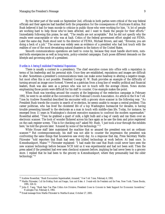By the latter part of the week on September 2nd, officials in both parties were critical of the way federal officials and their agencies had handled both the preparation for the consequences of Hurricane Katrina. But Bush believed it bad for team morale to criticize in public those who were working for him. "A lot of people are working hard to help those who've been affected, and I want to thank the people for their efforts." Immediately following this praise, he said, "The results are not acceptable." But he did not specify why the results were unacceptable or who was at fault. Critics of the federal government effort singled out FEMA. Later the same day, Bush stood next to the director of FEMA, Michael Brown, and said, "Brownie, you are doing a heck of a job." The scene was widely seen as evidence of a president who had lost touch with the realities of one of the most devastating natural disasters in the history of the United States.

Smooth communications operations are hard to come by, because they must handle short-term, nutsand-bolts emergencies as well as long-term, policy-oriented campaigns. Each poses different demands on the lifestyle and governing style of a president.

# *Hurdles in Altering Established Presidential Reputations*

There is usually a context to a presidency. The chief executive comes into office with a reputation in terms of his leadership and his personal style. Once they are established, reputations and images are difficult to alter. Sometimes a president's communications team can make some headway in altering a negative image, but most often this is not possible. President George H. W. Bush provides an example of the difficulty of turning around an image once formed. Viewed as a patrician from a long line of wealthy political and financial leaders, Bush was also seen as a person who was not in touch with the average citizen. News stories emphasizing those points were difficult for his staff to counter. One example makes the point.

When Bush was traveling around the country at the beginning of the reelection campaign in February 1992, he went to an exhibit at the convention of the National Grocers Association. An article in the *New York Times* by Andrew Rosenthal described his encounter with a grocery store scanner in the following way: "As President Bush travels the country in search of re-election, he seems unable to escape a central problem: This career politician, who has lived the cloistered life of a top Washington bureaucrat for decades, is having trouble presenting himself to the electorate as a man in touch with middle-class life. Today, for instance, he emerged from 11 years in Washington's choicest executive mansions to confront the modern supermarket." Rosenthal added, "Then he grabbed a quart of milk, a light bulb and a bag of candy and ran them over an electronic scanner. The look of wonder flickered across his face again as he saw the item and price registered on the cash register screen. 'This is for checking out?' asked Mr. Bush. 'I just took a tour through the exhibits here,' he told the grocers later. 'Amazed by some of the technology.'"<sup>13</sup>

White House staff later maintained the machine that so amazed the president was not an ordinary scanner.14 But contemporaneously, his staff was not able to counter the impression the president was confronting the same things that housewives saw every day. As a response that day, Press Secretary Marlin Fitzwater "told reporters that Bush had seen this [older] technology at work before. At least once. In Kennebunkport, Maine."15 Fitzwater explained: "I had made the case that Bush could never have seen the new scanner technology before because NCR told us it was experimental and had not been sold. Then the press asked if the president had ever seen checkout scanners before, implying he had never been to a grocery store. I replied that he had been to the grocery in Kennebunkport, where they presumably had the older technology."16

 $\overline{a}$ 

<sup>13</sup> Andrew Rosenthal, "Bush Encounters Supermarket, Amazed," *New York Times,* February 4, 1992.

<sup>14</sup> Marlin Fitzwater, *Call the Briefing: Bush and Reagan, Sam and Helen*: *A Decade with the Presidents and the Press*. New York: Times Books, 1995, 328-32.

<sup>&</sup>lt;sup>15</sup> John E. Yang, "Bush Says Tax Plan Critics Are Divisive; President Goes to Grocers to Seek Support for Economic Incentives," *Washington Post*, February 4, 1992.

<sup>16</sup> Email message from Marlin Fitzwater to Martha Kumar, October 27, 2005.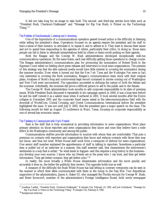It did not take long for an image to take hold. The second- and third-day articles bore titles such as "President Bush, Checkout-Challenged" and "Message for Rip Van Bush; A Primer on the Technology Thing."17

# *The Problem of Simultaneously Listening and Advocating*

One of the byproducts of a communications operation geared toward action is the difficulty in listening while selling the president's ideas. Operations focused on an agenda require the president and his staff to have a sense of their mission, to articulate it, to repeat it, and to adhere to it. They want to discuss their issues and not to spend time responding to the agendas of others, particularly their critics. In doing so, those same people can fail to listen to alternate interpretations held by others or items worth putting on their agenda.

Both the Reagan and the George W. Bush administrations developed exceptionally well-run communications operations. By the same token, each had difficulty getting those operations to change course. The Reagan administration's communications plan for promoting the nomination of Robert Bork to the Supreme Court relied on fielding short press releases and interviews to local news organizations. The premise of this strategy was that the elite national media would have little interest in covering the nomination during the summer months. Even when it turned out that the *New York Times* and the *Washington Post* were in fact very interested in covering the Bork nomination, Reagan's communications team stuck with their original plans. Analyses of Bork's long and controversial legal record contained in stories coming out of Washington and New York went uncountered. The opposition succeeded in defining the nature of both the debate and the nominee. Admittedly, the nominee did prove a difficult person to sell to the public and to the Senate.

The George W. Bush administration took months to add corporate responsibility to its slate of pressing issues. While President Bush discussed it repeatedly in his campaign speech in 2004, it was a long time before he and his staff viewed it as a salient issue when it surfaced in 2001. It took several months after the Enron collapse in December 2001 and the corporate fraud issues raised in the telecommunications field with the downfall of WorldCom, Global Crossing, and Qwest Communications International before the president highlighted the issue. It was not until July 9, 2002, that the president gave a major speech on the issue. The following month he held an August 13 conference in Waco, Texas, focusing on corporate responsibility as one of several key economic issues.

### *The Tendency to Communicate with One's Friends*

Rare is the staff that is truly ecumenical in providing information to news organizations. Most place primary attention on those reporters and news organizations they know and ones they believe have a wide effect in the Washington community and among the public.

Communications staffers provide information to sources with whom they are comfortable. That puts a premium on contacts with reporters and organizations they know and reduces contacts with those they may not know, and thus not trust. White House staff work from a viewpoint of distrust for news organizations. One senior staff member explained the apprehension of staff in talking to reporters. Sometimes a particular item is pulled out of an interview in a manner, this staff member said, that characterizes the interviewee's sentiments in a way that is unfair: "So what tends to happen--and this requires a long history in this business- you develop your own sources. I know who my friends are in the press who I can trust, and they get better information. They get better contacts, they get better color."18

In reality, the more broadly a White House disseminates information and the more quickly and accurately it does so, the better the publicity they receive. The opposite holds true as well.

A measure of the difficulty the Bush White House has had letting in contrary viewpoints can be seen in the manner in which their allies communicated with them in the runup to the Iraq War. Two Republican supporters of the administration, James A. Baker III, who managed the Florida recount for George W. Bush, and Brent Scowcroft, member of the administration's Foreign Intelligence Board, both wrote newspaper

-

<sup>17</sup> Jonathan Yardley, "President Bush, Checkout-Challenged," *Washington Post*, February 10, 1992, and Joel Achenbach, "Message for Rip Van Bush: A Prime on the Technology Thing," *Washington Post*, February 6, 1992.

<sup>&</sup>lt;sup>18</sup> Background interview.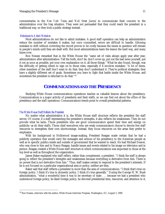commentaries in the *New York Times* and *Wall Street Journal* to communicate their concern to the administration over the Iraq situation. They were not persuaded that they could reach the president in a traditional way, so they took a public strategy instead.

# *Reluctance to Admit Mistakes*

Most administrations do not like to admit mistakes. A good staff operation can help an administration reduce the number of mistakes it makes, but once committed, errors are difficult to handle. Allowing mistakes to drift without correcting the record proves to be costly because the issues in question will remain in people's minds until they are dealt with. But most administrations learn the lesson the hard way, and many times over.

Ron Nessen remarked that in the White House the "same set of rules always apply year after year, administration after administration: Tell the truth, don't lie, don't cover up, put out the bad news yourself, put it out as soon as possible, put your own explanation on it, all those things." What he also found, though, was the difficulty of getting others to sign on to those rules, especially if it involves mistakes: "A lot of times, other members of the staff don't want to do that; they don't understand it. They're political strategists; they have a slightly different set of goals. Sometimes you have to fight that battle inside the White House, and sometimes the president is reluctant to do that."19

# **COMMUNICATIONS AND THE PRESIDENCY**

Studying White House communications operations teaches us valuable lessons about the presidency. Communications is a major activity of presidents and their staffs, so we can find out about the office of the presidency and the staff operations. Communications trends point to overall presidential patterns.

# *The White House Staff Reflects the President*

<u>.</u>

No matter what administration it is, the White House staff structure reflects the president the staff serves. Of course, if a staff representing the president's strengths, it also reflects his weaknesses. They do not provide what he lacks. Those presidents who are good communicators spend their time and energy on publicity--as do their staffs. Those chief executives who are weak communicators choose to devote few staff resources to strengthen their own shortcomings. Instead, they focus resources on the areas they prefer to emphasize.

With his background in Hollywood image-making, President Reagan made certain that he had a publicity operation that would carry the messages and actions of his presidency to the American people as well as to specific publics inside and outside of government that he wanted to reach. He had Michael Deaver, who was close to him and to Nancy Reagan, handle issues and events related to his image on television and in person. Reagan created a White House staff structure in which communications was important to those at the top level as well as throughout the organization.

James Baker explained why staff reflect, rather than complement, a president. "I think the staff is always going to reflect the president's strengths and weaknesses because everything is derivative from him. There is no power that is not derivative from him." Thus, staff makes certain to respond to the president's interests. If he is not focused on a particular organizational area or policy, neither are they.

Baker said that staff reflects a president in more than the area of communications: "I think that's true on foreign policy. I think it's true in domestic policy. I think it's true generally." During the George H. W. Bush administration, "what a wonderful time it was to be secretary of state . . . because we had a president who understood foreign policy, he liked foreign policy, he devoted presidential time, resources, and attention to it,

<sup>&</sup>lt;sup>19</sup> Ron Nessen, interview with the author, White House Interview Program, Washington, DC, August 3, 1999.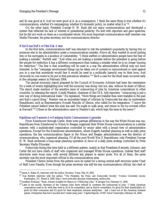and he was good at it. And we were good at it, as a consequence. I think the same thing is true whether it's communications, whether it's campaigning, whether it's domestic policy, no matter what it is."20

On the other hand, President George H. W. Bush did not enjoy communications and developed a system that reflected his lack of interest in presidential publicity. He met with reporters and gave speeches, but he did not work on them as a coordinated whole. His most important communications staff member was Marlin Fitzwater, his press secretary, not his communications director.

# *White House Staff Are Often Risk Averse*

In the first term, communications staff was reluctant to risk the president's popularity by having him or someone else in his administration make a communications mistake. Above all, they wanted to avoid putting him or his surrogates in a position of vulnerability. "I think staffers or administration people have the fear of making a mistake," Bartlett said. "And when you are making a mistake before the president is going before the people for reelection it has a different consequence than making a mistake when he is no longer running for reelection." The fear is that something will be used in a way the administration official may not have intended. In the "campaign environment things can be taken out of context or misconstrued or used against you in a way-that somebody would fear it would be used in a politically harmful way to their boss. And obviously no one wants to be put in that precarious situation."21 Such a case for the Bush team occurred early in the campaign season in February 2004.

The annual economic report prepared by the Council of Economic Advisers had been the centerpiece for a week of events highlighting how well the economy was doing--but not, alas, without its share of fallout. The report made mention of the sensitive issue of outsourcing of jobs by American corporations to other countries. In releasing the report, Gerald Mankiw, chairman of the CEA, told reporters, "outsourcing is just a new way of doing international trade." He explained, "More things are tradable than were tradable in the past and that's a good thing." Mankiw was an immediate target of criticism by Democrats but also by midwestern Republicans, such as Representative Donald Mazullo of Illinois, who called for his resignation: "I know the President cannot believe what this man has said. He ought to walk away, and return to his ivy-covered office at Harvard."<sup>22</sup> Others in the administration came to Mankiw's aid, which kept the issue in the news.<sup>23</sup>

### *Republicans and Democrats Are Developing Similar Communications Approaches*

From Eisenhower through Carter, there were partisan differences in the way the White House was run. Republicans from Eisenhower to Nixon to Reagan organized their White House communications in a similar manner, with a sophisticated organization controlled by senior aides with a broad view of administration operations. Except for the Eisenhower administration, where Hagerty handled planning as well as daily press operations, the key communications figure in the Nixon and Reagan administrations was the director of communications, who organized planning. Of all the post-World War II Republicans, only President George H. W. Bush eschewed a long-range planning operation in favor of a daily press strategy controlled by Press Secretary Marlin Fitzwater.

Democrats during this time held to a different pattern, mainly in that Presidents Kennedy, Johnson, and Carter did not have chiefs of staff who organized and managed White House operations. Instead their staff structures were loose ones, with several different key players in senior posts. For all of them, the press secretary was the most important official in the communications area.

President Clinton broke from the pattern once he opted for a strong central staff structure under Chief of Staff Leon Panetta. Even though the press secretary was still the key communications official, the chief of

<sup>20</sup> James A. Baker III, interview with the author, Houston, Texas, May 14, 2001.

<sup>21</sup> Dan Bartlett, interview with the author, "The President, the Press, and Democratic Society," Towson University course, Washington, DC, March 8, 2004. http://www.ucdc.edu/aboutus/whstreaming\_archive.cfm.

<sup>22</sup> Jonathan Weisman, "Bush, Adviser Assailed for Stance on 'Offshoring' Jobs," *Washington Post,* February 11, 2004.

 $23$  Later in the month. Secretary of the Treasury John Snow refused to condemn the outsourcing of jobs: "I think American corporations need to do what they need to do to be competitive, and as they're competitive, it's good for their shareholders, it's good for their consumers and it's good for their employers, because enterprises – and I come out of the American business system. Enterprises that don't succeed don't create many jobs." Capital Reports, CNBC News Transcripts, February 24, 2004.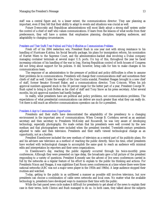staff was a central figure and, to a lesser extent, the communications director. They saw planning as important, even if they felt that their ability to adapt to events and situations was crucial as well.

Future Democratic and Republican administrations will most likely adopt a strong staff system under the control of a chief of staff who values communications. If learn from the lessons of what works from their predecessors, they will have a system that emphasizes planning, discipline, targeting audiences, and adaptability to changing circumstances.

# *Presidents and Their Staffs Treat Political and Policy Difficulties as Communications Problems*

Fresh off of his 2004 reelection win, President Bush in one year met with strong resistance to his handling of Hurricane Katrina, his Social Security package, his plans for immigration reform, his nomination of Harriet Miers to the Supreme Court, and the administration-backed deal involving a Dubai company managing container terminals at several major U.S. ports. On top of this, throughout the year he faced increasing criticism of his handling of the war in Iraq. Having Republican control of both houses of Congress did not bring about support for his policies. It did, however, bring calls for him to make changes in his communications team.

The response of an administration to the pressure of political and policy difficulties is often to assume their problems lie in communications. Presidents will change their communications staff and sometimes their chiefs of staff as well. Under the weight of the Iran-Contra scandal, President Reagan brought in a new chief of staff, former Senator Howard Baker, and a communications director, Tom Griscom. When his job approval numbers appeared stuck in the 30 percent range for the better part of a year, President George W. Bush opted to bring in Josh Bolten as his chief of staff and Tony Snow as his press secretary. After several months, his job approval numbers had hardly budged.

In reality, what presidents have are political and policy problems, not communications problems. The expectations of what presidential communications can deliver are much greater than what they can really do. Yet there is still much an effective communications operation can do for a president.

# *Presidents Adapt to Communications Opportunities*

Presidents and their staffs have demonstrated the adaptability of the presidency to a changing environment in the important area of communications. When George B. Cortelyou served as an assistant secretary and then secretary to Presidents McKinley and Roosevelt, he was very aware of developing technology, especially photography. He made certain that his presidents were well covered by the new medium and that photographers were included when the president traveled. Twentieth-century presidents adjusted to radio and then television. Presidents and their staffs viewed technological change as an opportunity, not as a burden.

President Eisenhower included the new medium of television as a central part of his publicity plans. He and his advisers saw television as a method of reaching the public directly. Since his time, other presidents have worked with technological changes to accomplish the same goal: to reach an audience with minimal edits and interpretation by reporters and their news organizations.

In Eisenhower's day, reaching the public regularly occurred through his twice-monthly press conferences. Although they were presented on tape delay, the broadcasts gave a full picture of the president responding to a variety of questions. President Kennedy saw the advent of live news conferences carried in full by the networks as a regular feature of his effort to explain to the public his thinking and actions. For Presidents Nixon and Reagan, it was nighttime East Room news conferences at a time where there were three national networks (ABC was not a major news player in the 1950s and 1960s). A large audience stopped their routines and watched.

Today, getting to the public in as unfiltered a manner as possible still involves television, but now presidents can choose a combination of cable news networks and local ones. No matter what the available technology is, presidents have developed ways to maximize their time with the public.

While the fast-paced news cycle makes it difficult for presidents to get ahead of the news to explain their case in their terms, both Clinton and Bush managed to do so. In both cases, they talked about the subjects